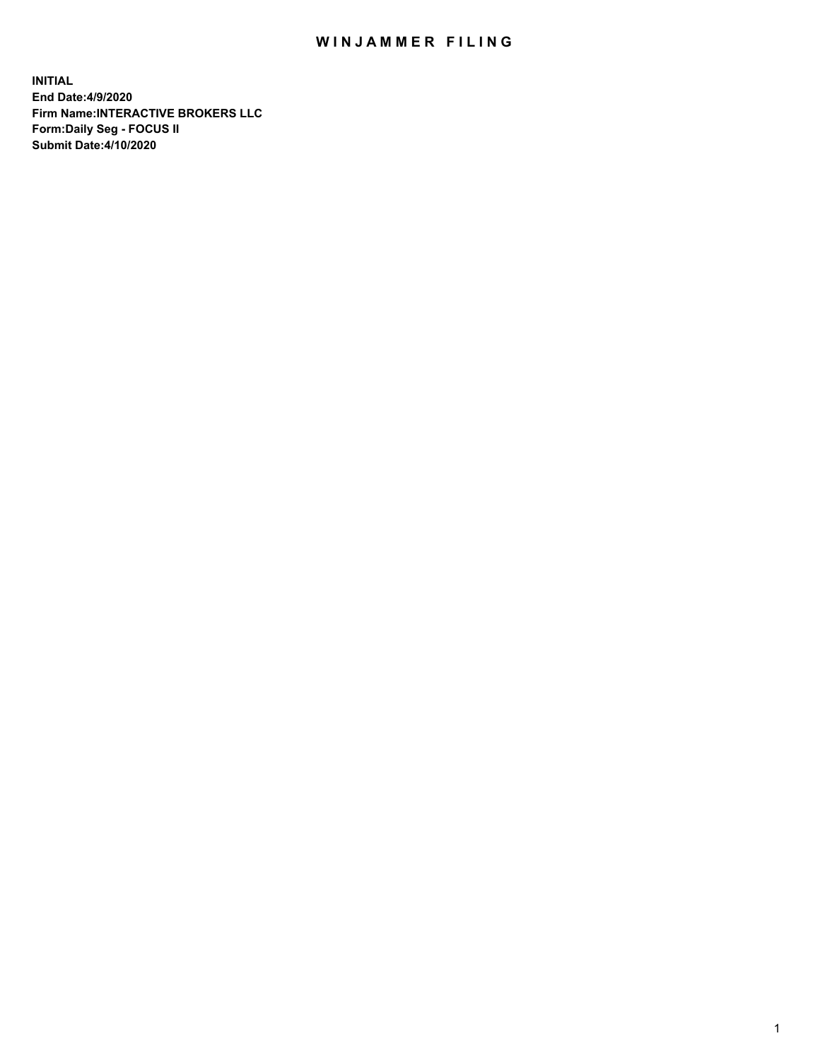## WIN JAMMER FILING

**INITIAL End Date:4/9/2020 Firm Name:INTERACTIVE BROKERS LLC Form:Daily Seg - FOCUS II Submit Date:4/10/2020**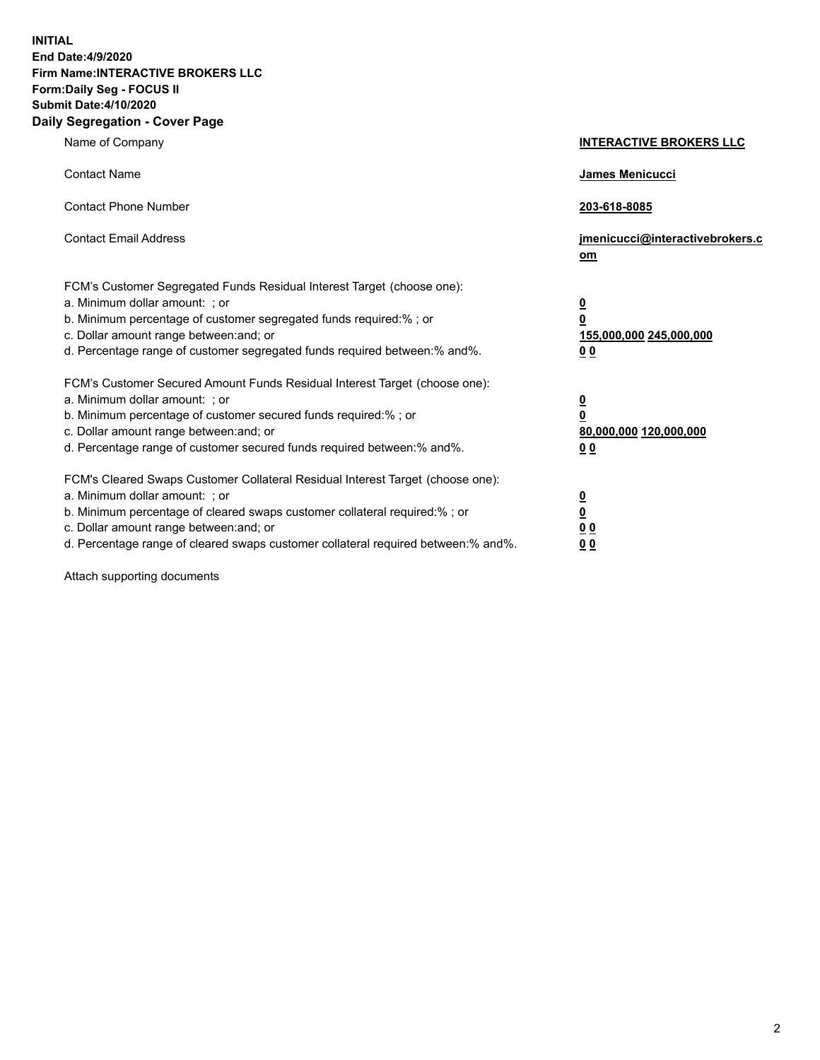**INITIAL End Date:4/9/2020 Firm Name:INTERACTIVE BROKERS LLC Form:Daily Seg - FOCUS II Submit Date:4/10/2020 Daily Segregation - Cover Page**

| Name of Company                                                                                                                                                                                                                                                                                                                | <b>INTERACTIVE BROKERS LLC</b>                                                                 |
|--------------------------------------------------------------------------------------------------------------------------------------------------------------------------------------------------------------------------------------------------------------------------------------------------------------------------------|------------------------------------------------------------------------------------------------|
| <b>Contact Name</b>                                                                                                                                                                                                                                                                                                            | <b>James Menicucci</b>                                                                         |
| <b>Contact Phone Number</b>                                                                                                                                                                                                                                                                                                    | 203-618-8085                                                                                   |
| <b>Contact Email Address</b>                                                                                                                                                                                                                                                                                                   | jmenicucci@interactivebrokers.c<br>om                                                          |
| FCM's Customer Segregated Funds Residual Interest Target (choose one):<br>a. Minimum dollar amount: ; or<br>b. Minimum percentage of customer segregated funds required:% ; or<br>c. Dollar amount range between: and; or<br>d. Percentage range of customer segregated funds required between:% and%.                         | $\overline{\mathbf{0}}$<br>$\overline{\mathbf{0}}$<br>155,000,000 245,000,000<br>00            |
| FCM's Customer Secured Amount Funds Residual Interest Target (choose one):<br>a. Minimum dollar amount: ; or<br>b. Minimum percentage of customer secured funds required:%; or<br>c. Dollar amount range between: and; or<br>d. Percentage range of customer secured funds required between:% and%.                            | $\overline{\mathbf{0}}$<br>$\overline{\mathbf{0}}$<br>80,000,000 120,000,000<br>0 <sub>0</sub> |
| FCM's Cleared Swaps Customer Collateral Residual Interest Target (choose one):<br>a. Minimum dollar amount: ; or<br>b. Minimum percentage of cleared swaps customer collateral required:% ; or<br>c. Dollar amount range between: and; or<br>d. Percentage range of cleared swaps customer collateral required between:% and%. | $\overline{\mathbf{0}}$<br><u>0</u><br>0 <sub>0</sub><br>00                                    |

Attach supporting documents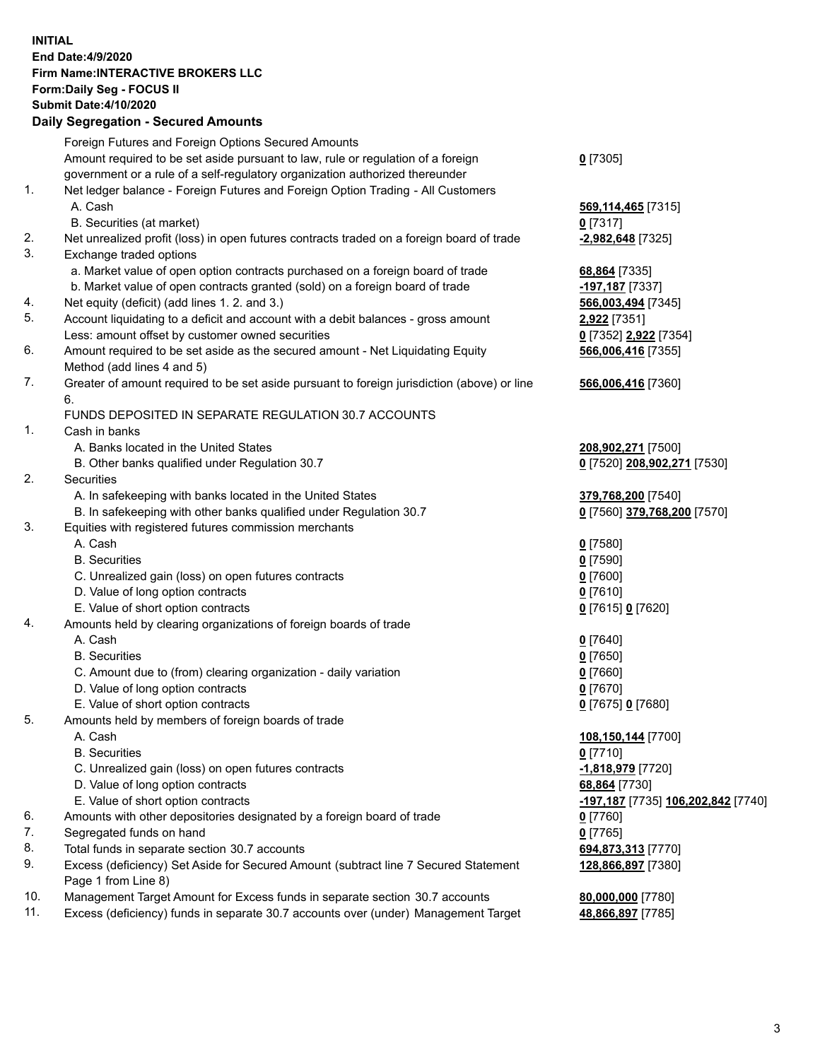## **INITIAL End Date:4/9/2020 Firm Name:INTERACTIVE BROKERS LLC Form:Daily Seg - FOCUS II Submit Date:4/10/2020 Daily Segregation - Secured Amounts**

|     | Dany Ocgregation - Occarea Anioants                                                                        |                                    |
|-----|------------------------------------------------------------------------------------------------------------|------------------------------------|
|     | Foreign Futures and Foreign Options Secured Amounts                                                        |                                    |
|     | Amount required to be set aside pursuant to law, rule or regulation of a foreign                           | $0$ [7305]                         |
|     | government or a rule of a self-regulatory organization authorized thereunder                               |                                    |
| 1.  | Net ledger balance - Foreign Futures and Foreign Option Trading - All Customers                            |                                    |
|     | A. Cash                                                                                                    | 569,114,465 [7315]                 |
|     | B. Securities (at market)                                                                                  | $0$ [7317]                         |
| 2.  | Net unrealized profit (loss) in open futures contracts traded on a foreign board of trade                  | $-2,982,648$ [7325]                |
| 3.  | Exchange traded options                                                                                    |                                    |
|     | a. Market value of open option contracts purchased on a foreign board of trade                             | 68,864 [7335]                      |
|     | b. Market value of open contracts granted (sold) on a foreign board of trade                               | -197,187 <sup>[7337]</sup>         |
| 4.  | Net equity (deficit) (add lines 1. 2. and 3.)                                                              | 566,003,494 [7345]                 |
| 5.  | Account liquidating to a deficit and account with a debit balances - gross amount                          | 2,922 [7351]                       |
|     | Less: amount offset by customer owned securities                                                           | 0 [7352] 2,922 [7354]              |
| 6.  | Amount required to be set aside as the secured amount - Net Liquidating Equity                             | 566,006,416 [7355]                 |
|     | Method (add lines 4 and 5)                                                                                 |                                    |
| 7.  | Greater of amount required to be set aside pursuant to foreign jurisdiction (above) or line                | 566,006,416 [7360]                 |
|     | 6.                                                                                                         |                                    |
|     | FUNDS DEPOSITED IN SEPARATE REGULATION 30.7 ACCOUNTS                                                       |                                    |
| 1.  | Cash in banks                                                                                              |                                    |
|     | A. Banks located in the United States                                                                      | 208,902,271 [7500]                 |
|     | B. Other banks qualified under Regulation 30.7                                                             | 0 [7520] 208,902,271 [7530]        |
| 2.  | Securities                                                                                                 |                                    |
|     | A. In safekeeping with banks located in the United States                                                  | 379,768,200 [7540]                 |
|     | B. In safekeeping with other banks qualified under Regulation 30.7                                         | 0 [7560] 379,768,200 [7570]        |
| 3.  | Equities with registered futures commission merchants                                                      |                                    |
|     | A. Cash                                                                                                    | $0$ [7580]                         |
|     | <b>B.</b> Securities                                                                                       | $0$ [7590]                         |
|     | C. Unrealized gain (loss) on open futures contracts                                                        | $0$ [7600]                         |
|     | D. Value of long option contracts                                                                          | $0$ [7610]                         |
|     | E. Value of short option contracts                                                                         | 0 [7615] 0 [7620]                  |
| 4.  | Amounts held by clearing organizations of foreign boards of trade                                          |                                    |
|     | A. Cash                                                                                                    | $0$ [7640]                         |
|     | <b>B.</b> Securities                                                                                       | $0$ [7650]                         |
|     | C. Amount due to (from) clearing organization - daily variation                                            | $0$ [7660]                         |
|     | D. Value of long option contracts                                                                          | $0$ [7670]                         |
|     | E. Value of short option contracts                                                                         | 0 [7675] 0 [7680]                  |
| 5.  | Amounts held by members of foreign boards of trade                                                         |                                    |
|     | A. Cash                                                                                                    | 108,150,144 [7700]                 |
|     | <b>B.</b> Securities                                                                                       | $0$ [7710]                         |
|     | C. Unrealized gain (loss) on open futures contracts                                                        | -1,818,979 [7720]                  |
|     | D. Value of long option contracts                                                                          | 68,864 [7730]                      |
|     | E. Value of short option contracts                                                                         | -197,187 [7735] 106,202,842 [7740] |
| 6.  | Amounts with other depositories designated by a foreign board of trade                                     | 0 [7760]                           |
| 7.  | Segregated funds on hand                                                                                   | $0$ [7765]                         |
| 8.  | Total funds in separate section 30.7 accounts                                                              | 694,873,313 [7770]                 |
| 9.  | Excess (deficiency) Set Aside for Secured Amount (subtract line 7 Secured Statement<br>Page 1 from Line 8) | 128,866,897 [7380]                 |
| 10. | Management Target Amount for Excess funds in separate section 30.7 accounts                                | 80,000,000 [7780]                  |
| 11. | Excess (deficiency) funds in separate 30.7 accounts over (under) Management Target                         | 48,866,897 [7785]                  |
|     |                                                                                                            |                                    |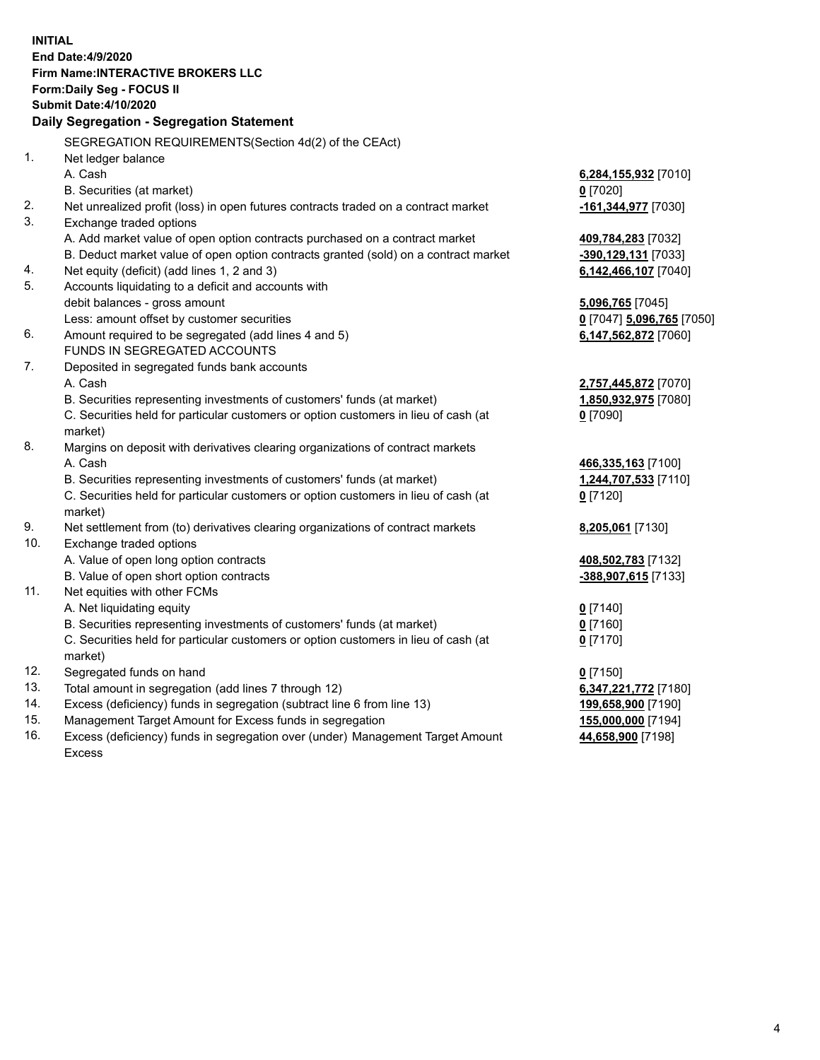**INITIAL End Date:4/9/2020 Firm Name:INTERACTIVE BROKERS LLC Form:Daily Seg - FOCUS II Submit Date:4/10/2020 Daily Segregation - Segregation Statement** SEGREGATION REQUIREMENTS(Section 4d(2) of the CEAct) 1. Net ledger balance A. Cash **6,284,155,932** [7010] B. Securities (at market) **0** [7020] 2. Net unrealized profit (loss) in open futures contracts traded on a contract market **-161,344,977** [7030] 3. Exchange traded options A. Add market value of open option contracts purchased on a contract market **409,784,283** [7032] B. Deduct market value of open option contracts granted (sold) on a contract market **-390,129,131** [7033] 4. Net equity (deficit) (add lines 1, 2 and 3) **6,142,466,107** [7040] 5. Accounts liquidating to a deficit and accounts with debit balances - gross amount **5,096,765** [7045] Less: amount offset by customer securities **0** [7047] **5,096,765** [7050] 6. Amount required to be segregated (add lines 4 and 5) **6,147,562,872** [7060] FUNDS IN SEGREGATED ACCOUNTS 7. Deposited in segregated funds bank accounts A. Cash **2,757,445,872** [7070] B. Securities representing investments of customers' funds (at market) **1,850,932,975** [7080] C. Securities held for particular customers or option customers in lieu of cash (at market) **0** [7090] 8. Margins on deposit with derivatives clearing organizations of contract markets A. Cash **466,335,163** [7100] B. Securities representing investments of customers' funds (at market) **1,244,707,533** [7110] C. Securities held for particular customers or option customers in lieu of cash (at market) **0** [7120] 9. Net settlement from (to) derivatives clearing organizations of contract markets **8,205,061** [7130] 10. Exchange traded options A. Value of open long option contracts **408,502,783** [7132] B. Value of open short option contracts **-388,907,615** [7133] 11. Net equities with other FCMs A. Net liquidating equity **0** [7140] B. Securities representing investments of customers' funds (at market) **0** [7160] C. Securities held for particular customers or option customers in lieu of cash (at market) **0** [7170] 12. Segregated funds on hand **0** [7150] 13. Total amount in segregation (add lines 7 through 12) **6,347,221,772** [7180] 14. Excess (deficiency) funds in segregation (subtract line 6 from line 13) **199,658,900** [7190] 15. Management Target Amount for Excess funds in segregation **155,000,000** [7194]

16. Excess (deficiency) funds in segregation over (under) Management Target Amount Excess

**44,658,900** [7198]